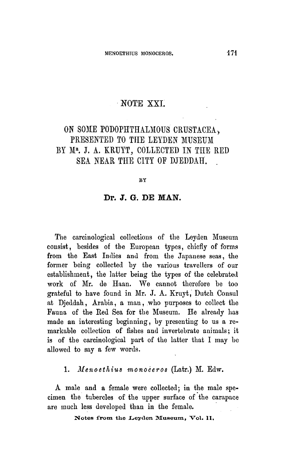## NOTE XXI.

# On some Podophthalmous Crustacea, presented to the Leyden Museum by Mr. J. A. Kruyt, collected in the Red Sea near the city of Djeddah

#### BY

#### Dr. J. G. DE MAN.

The carcinological collections of the Leyden Museum consist, besides of the European types, chiefly of forms from the East Indies and from the Japanese seas, the former being collected by the various travellers of our establishment, the latter being the types of the celebrated work of Mr. de Haan. We cannot therefore be too grateful to have found in Mr. J. A. Kruyt, Dutch Consul at Djeddah, Arabia, <sup>a</sup> man, who purposes to collect the Fauna of the Red Sea for the Museum. He already has made an interesting beginning, by presenting to us <sup>a</sup> remarkable collection of fishes and invertebrate animals; it is of the carcinological part of the latter that I may be allowed to say <sup>a</sup> few words.

#### 1. Menoethius monoceros (Latr.) M. Edw.

A male and <sup>a</sup> female were collected; in the male specimen the tubercles of the upper surface of the carapace are much less developed thau in the female.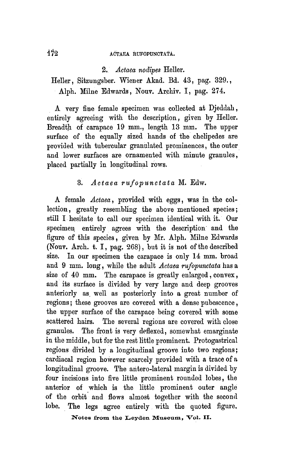## 172 ACTAEA RUFOPUNCTATA.

2. Actaea nodipes Heller.

Heller, Sitzungsber. Wiener Akad. Bd. 43, pag. 329., Alph. Milne Edwards, Nouv. Archiv. I, pag. 274.

A very fine female specimen was collected at Djeddah, entirely agreeing with the description, given by Heller. Breadth of carapace 19 mm., length 13 mm. The upper surface of the equally sized hands of the chelipedes are provided with tubercular granulated prominences, the outer and lower surfaces are ornamented with minute granules, placed partially in longitudinal rows.

## 3. Actaea rufopunctata M. Edw.

A female Actaea , provided with eggs, was in the collection, greatly resembling the above mentioned species; still I hesitate to call our specimen identical with it. Our specimen entirely agrees with the description and the figure of this species, given by Mr. Alph. Milne Edwards (Nouv. Arch. t. I, pag. 268), but it is not of the described size. In our specimen the carapace is only <sup>14</sup> mm. broad and  $9 \text{ mm}$ . long, while the adult Actaea rufopunctata has a size of 40 mm. The carapace is greatly enlarged, convex, and its surface is divided by very large and deep grooves anteriorly as well as posteriorly into a great number of regions; these grooves are covered with <sup>a</sup> dense pubescence, the upper surface of the carapace being covered with some scattered hairs. The several regions are covered with close granules. The front is very deflexed, somewhat emarginate in the middle, but for the rest little prominent. Protogastrical regions divided by <sup>a</sup> longitudinal groove into two regions; cardiacal region however scarcely provided with <sup>a</sup> trace of a longitudinal groove. The antero-lateral margin is divided by four incisions into five little prominent rounded lobes, the anterior of which is the little prominent outer angle of the orbit and flows almost together with the second lobe. The legs agree entirely with the quoted figure.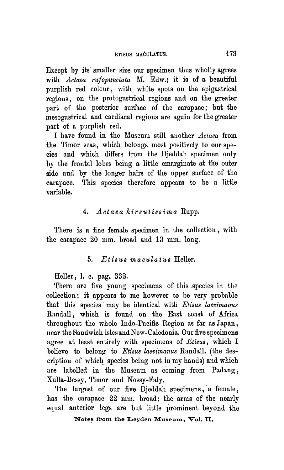Except by its smaller size our specimen thus wholly agrees with Actaea rufopunctata M. Edw.; it is of a beautiful purplish red colour, with white spots on the epigastrical regions, on the protogastrical regions and on the greater part of the posterior surface of the carapace; but the mesogastrical and cardiacal regions are again for the greater part of a purplish red.

I have found in the Museum still another Actaea from the Timor seas, which belongs most positively to our species and which differs from the Djeddah specimen only by the frontal lobes being a little emarginate at the outer side and by the longer hairs of the upper surface of the carapace. This species therefore appears to be <sup>a</sup> little variable.

#### 4. Actaea hirsutissima Rupp.

There is a fine female specimen in the collection, with the carapace 20 mm. broad and 13 mm. long.

#### 5. Etisus maculatus Heller.

Heller, 1. c. pag. 332.

There are five young specimens of this species in the collection; it appears to me however to be very probable that this species may be identical with Etisus laevimanus Randall, which is found on the East coast of Africa throughout the whole Indo-Pacific Region as far as Japan, near the Sandwich isles and New-Caledonia. Our five specimens agree at least entirely with specimens of  $E$ tisus, which I believe to belong to Etisus laevimanus Randall. (the description of which species being not in my hands) and which are labelled in the Museum as coming from Padang, Xulla-Bessy, Timor and Nossy-Faly.

The largest of our five Djeddah specimens, <sup>a</sup> female, has the carapace 22 mm. broad; the arms of the nearly equal anterior legs are but little prominent beyond the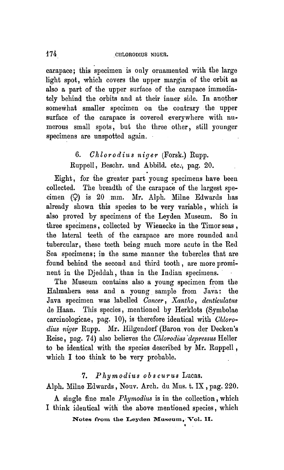carapace; this specimen is only ornamented with the large light spot, which covers the upper margin of the orhit as also <sup>a</sup> part of the upper surface of the carapace immediately behind the orbits and at their inner side. In another somewhat smaller specimen on the contrary the upper surface of the carapace is covered everywhere with numerous small spots, hut the three other, still younger specimens are unspotted again.

# 6. Chlorodius niger (Forsk.) Rupp.

Ruppell, Beschr. und Abbild. etc., pag. 20.

Eight, for the greater part young specimens have been collected. The breadth of the carapace of the largest specimen (9) is 20 mm. Mr. Alph. Milne Edwards has already shown this species to be very variable, which is also proved by specimens of the Leyden Museum. So in three specimens, collected by Wienecke in the Timor seas , the lateral teeth of the carapace are more rounded and tubercular, these teeth being much more acute in the Red Sea specimens; in the same manner the tubercles that are found behind the second and third tooth, are more prominent in the Djeddah, than in the Indian specimens.

The Museum contains also <sup>a</sup> young specimen from the Halmahera seas and <sup>a</sup> young sample from Java: the Java specimen was labelled Cancer, Xantho, denticulatus de Haan. This species, mentioned by Herklots (Symbolae carcinologicae, pag.  $10$ ), is therefore identical with *Chloro*dius niger Rupp. Mr. Hilgendorf (Baron von der Decken's Reise, pag. 74) also believes the Chlorodius depressus Heller to be identical with the species described by Mr. Ruppell , which I too think to be very probable.

## 7. Phymodius obscurus Lucas.

Alph. Milne Edwards, Nouv. Arch, du Mus. t. IX , pag. 220.

A single fine male Phymodius is in the collection, which I think identical with the above mentioned species, which

Notes from the Leyden Museum, Vol. II.

i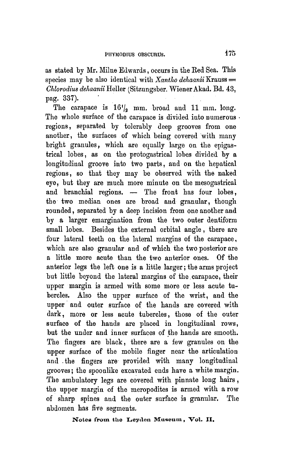as stated by Mr. Milne Edwards, occurs in the Red Sea. This species may be also identical with  $Xantho$  dehaanii Krauss  $=$ Chlorodius dehaanii Heller (Sitzungsber. Wiener Akad. Bd. 43, pag. 337).

The carapace is  $16'$ , mm. broad and 11 mm. long. The whole surface of the carapace is divided into numerous . regions, separated by tolerably deep grooves from one another, the surfaces of which being covered with many bright granules, which are equally large on the epigastrical lobes, as on the protogastrical lobes divided by <sup>a</sup> longitudinal groove into two parts, and on the hepatical regions, so that they may be observed with the naked eye, but they are much more minute on the mesogastrical and branchial regions. — The front has four lobes, the two median ones are broad and granular, though rounded, separated by <sup>a</sup> deep incision from one another and by <sup>a</sup> larger emargination from the two outer dentiform small lobes. Besides the external orbital angle, there are four lateral teeth on the lateral margins of the carapace, which are also granular and of which the two posterior are a little more acute than the two anterior ones. Of the anterior legs the left one is <sup>a</sup> little larger; the arms project but little beyond the lateral margins of the carapace, their upper margin is armed with some more or less acute tubercles. Also the upper surface of the wrist, and the upper and outer surface of the hands are covered with dark, more or less acute tubercles, those of the outer surface of the hands are placed in longitudinal rows, but the under and inner surfaces of the hands are smooth. The fingers are black, there are a few granules on the upper surface of the mobile finger near the articulation and the fingers are provided with many longitudinal grooves; the spoonlike excavated ends have <sup>a</sup> white margin. The ambulatory legs are covered with pinnate long hairs, the upper margin of the meropodites is armed with <sup>a</sup> row of sharp spines and the outer surface is granular. The abdomen has five segments.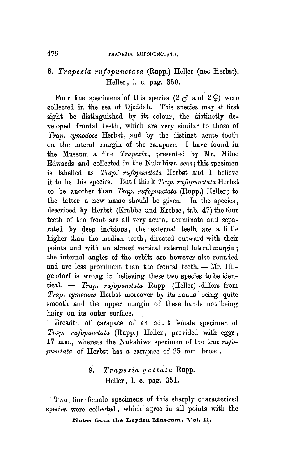# 8. Trapezia rufopunctata (Rupp.) Heller (nec Herbst). Heller, 1. c. pag. 350.

Four fine specimens of this species  $(2 \, \sigma^2 \, \text{and} \, 2 \, \Omega)$  were collected in the sea of Djeddah. This species may at first sight be distinguished by its colour, the distinctly developed frontal teeth, which are very similar to those of Trap. cymodoce Herbst, and by the distinct acute tooth on the lateral margin of the carapace. I have found in the Museum a fine *Trapezia*, presented by Mr. Milne Edwards and collected in the Nukahiwa seas; this specimen is labelled as *Trap. rufopunctata* Herbst and I believe it to be this species. But I think  $Trap.$  rufopunctata Herbst to be another than Trap. rufopunctata (Rupp.) Heller; to the latter <sup>a</sup> new name should be given. In the species, described by Herbst (Krabbe und Krebse, tab. 47) the four teeth of the front are all very acute, acuminate and separated by deep incisions, the external teeth are <sup>a</sup> little higher than the median teeth, directed outward with their points and with an almost vertical external lateral margin; the internal angles of the orbits are however also rounded and are less prominent than the frontal teeth. - Mr. Hilgendorf is wrong in believing these two species to be identical.  $-$  Trap. rufopunctata Rupp. (Heller) differs from Trap. cymodoce Herbst moreover by its hands being quite smooth and the upper margin of these hands not being hairy on its outer surface.

Breadth of carapace of an adult female specimen of Trap. rufopunctata (Rupp.) Heller, provided with eggs, <sup>17</sup> mm., whereas the Nukahiwa specimen of the true rufopunctata of Herbst has <sup>a</sup> carapace of <sup>25</sup> mm. broad.

> 9. Trapezia guttata Rupp. Heller, 1. c. pag. 351.

Two fine female specimens of this sharply characterized species were collected, which agree in all points with the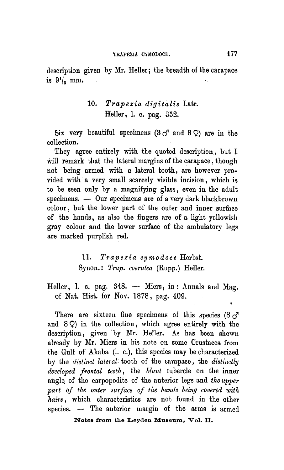description given by Mr. Heller; the breadth of the carapace is  $9^{1}/_{3}$  mm.

## 10. Trapezia digitalis Latr. Heller, 1. c. pag. 352.

Six very beautiful specimens  $(3 \circ^7$  and  $3 \circ)$  are in the collection.

They agree entirely with the quoted description, but I will remark that the lateral margins of the carapace, though not being armed with <sup>a</sup> lateral tooth, are however provided with a very small scarcely visible incision, which is to be seen only by <sup>a</sup> magnifying glass, even in the adult specimens. — Our specimens are of a very dark blackbrown colour, but the lower part of the outer and inner surface of the hands, as also the fingers are of <sup>a</sup> light yellowish gray colour and the lower surface of the ambulatory legs are marked purplish red.

> 11. Trapezia cymodoce Herbst. Synon.: Trap. coerulea (Rupp.) Heller.

Heller, 1. c. pag. 348. — Miers, in: Annals and Mag. of Nat. Hist, for Nov. 1878, pag. 409.

There are sixteen fine specimens of this species  $(8\sigma^2)$ and  $8Q$ ) in the collection, which agree entirely with the description, given by Mr. Heller. As has been shown. already by Mr. Miers in his note on some Crustacea from the Gulf of Akaba (1. c.), this species may be characterized by the distinct lateral tooth of the carapace, the distinctly developed frontal teeth, the blunt tubercle on the inner angle of the carpopodite of the anterior legs and the upper part of the outer surface of the hands being covered with hairs, which characteristics are not found in the other species. — The anterior margin of the arms is armed

Notes from the Leyden Museum, Vol. II.

 $\tilde{\mathcal{A}}$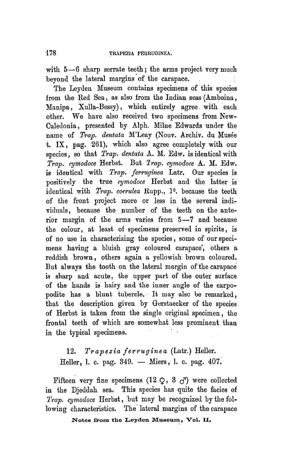with 5—6 sharp serrate teeth; the arms project very much beyond the lateral margins of the carapace.  $\sim 15$ 

The Leyden Museum contains specimens of this species from the Red Sea, as also from the Indian seas (Amboina, Manipa, Xulla-Bessy), which entirely agree with each other. We have also received two specimens from New-Caledonia, presented by Alpli. Milne Edwards under the name of Trap. dentata M'Leay (Nouv. Archiv. du Musée t. IX, pag. 261), which also agree completely with our species, so that Trap. dentata A. M. Edw. is identical with  $\overline{T}ran.$  cymodoce Herbst. But  $\overline{T}rap.$  cymodoce A. M. Edw. is identical with Trap. ferruginea Latr, Our species is positively the true cymodoce Ilerbst and the latter is identical with Trap. coerulea Rupp., 1°. because the teeth of the front project more or less in the several individuals, because the number of the teeth on the anterior margin of the arms varies from 5—7 and because the colour, at least of specimens preserved in spirits, is of no use in characterizing the species, some of our specimens having a bluish gray coloured carapace, others a reddish brown, others again <sup>a</sup> yellowish brown coloured. But always the tooth on the lateral margin of the carapace is sharp and acute, the upper part of the outer surface of the hands is hairy and the inner angle of the carpopodite has <sup>a</sup> blunt tubercle. It may also be remarked, that the description given by Gerstaecker of the species of Herbst is taken from the single original specimen, the frontal teeth of which are somewhat less prominent than in the typical specimens.

12. Trapezia ferruginea (Latr.) Heller. Heller, 1. c. pag. 349. — Miers, 1. c. pag. 407.

Fifteen very fine specimens (12  $\Omega$ , 3  $\sigma$ ) were collected in the Djeddah sea. This species has quite the facies of Trap. cymodoce Herbst, but may be recognized by the following characteristics. The lateral margins of the carapace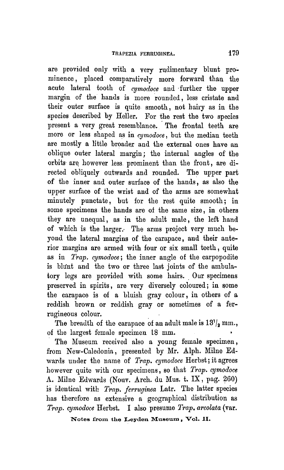are provided only with <sup>a</sup> very rudimentary blunt prominence, placed comparatively more forward than the acnte lateral tooth of cymodoce and further the upper margin of the hands is more rounded, less cristate and their outer surface is quite smooth, not hairy as in the species described by Heller. For the rest the two species present <sup>a</sup> very great resemblance. The frontal teeth are more or less shaped as in cymodoce , but the median teeth are mostly <sup>a</sup> little broader and the external ones have an oblique outer lateral margin; the internal angles of the orbits are however less prominent than the front, are directed obliquely outwards and rounded. The upper part of the inner and outer surface of the hands, as also the upper surface of the wrist and of the arms are somewhat minutely punctate, but for the rest quite smooth; in some specimens the hands are of the same size, in others they are unequal, as in the adult male, the left hand of which is the larger. The arms project very much beyond the lateral margins of the carapace, and their anterior margins are armed with four or six small teeth, quite as in Trap. cymodoce; the inner angle of the carpopodite is blunt and the two or three last joints of the ambulatory legs are provided with some hairs. Our specimens preserved in spirits, are very diversely coloured; in some the carapace is of <sup>a</sup> bluish gray colour, in others of <sup>a</sup> reddish brown or reddish gray or sometimes of <sup>a</sup> ferrugineous colour.

The breadth of the carapace of an adult male is  $13' /_{2}$  mm., of the largest female specimen <sup>18</sup> mm.

The Museum received also <sup>a</sup> young female specimen, from New-Caledonia, presented by Mr. Alph. Milne Edwards under the name of *Trap. cymodoce* Herbst; it agrees however quite with our specimens, so that Trap. cymodoce A. Milne Edwards (Nouv. Arch, du Mus. t. IX, pag. 260) is identical with *Trap. ferruginea* Latr. The latter species has therefore as extensive <sup>a</sup> geographical distribution as Trap. cymodoce Herbst. I also presume Trap. areolata (var.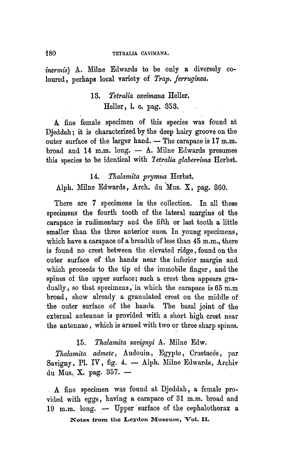#### 180 TETRALIA CAVIMANA.

inermis) A. Milne Edwards to be only a diversely coloured, perhaps local variety of Trap. ferruginea.

# 13. Tetralia cavimana Heller. Heller, 1. c. pag. 353.

A fine female specimen of this species was found at Djeddah; it is characterized by the deep hairy groove on the outer surface of the larger hand. — The carapace is 17 m.m. broad and 14 m.m. long. — A. Milne Edwards presumes this species to be identical with Tetralia glaberrima Herbst.

# 14. Thalamita prymna Herbst. Alph. Milne Edwards, Arch, du Mus. X, pag. 360.

There are <sup>7</sup> specimens in the collection. In all these specimens the fourth tooth of the lateral margins of the carapace is rudimentary and the fifth or last tooth <sup>a</sup> little smaller than the three anterior ones. In young specimens, which have a carapace of a breadth of less than 45 m.m., there is found no crest between the elevated ridge, found on the outer surface of the hands near the inferior margin and which proceeds to the tip of the immobile finger, and the spines of the upper surface; such <sup>a</sup> crest then appears gradually, so that specimens, in which the carapace is 65 m.m broad, show already <sup>a</sup> granulated crest on the middle of the outer surface of the hands. The basal joint of the external antennae is provided with <sup>a</sup> short high crest near the antennae, which is armed with two or three sharp spines.

## 15. Thalamita savignyi A. Milne Edw.

Thalamita admete, Audouin, Egypte, Crustacés, par Savigny, Pl. IV, fig. 4. - Alph. Milne Edwards, Archiv du Mus. X. pag. 357. —

A fine specimen was found at Djeddah, <sup>a</sup> female provided with eggs, having <sup>a</sup> carapace of <sup>31</sup> m.m. broad and 19 m.m. long. — Upper surface of the cephalothorax a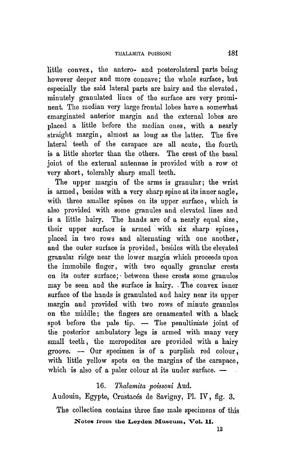little convex, the antero- and posterolateral parts being however deeper and more concave; the whole surface, hut especially the said lateral parts are hairy and the elevated, minutely granulated lines of the surface are very prominent. The median very large frontal lobes have a somewhat emarginated anterior margin and the external lobes are placed <sup>a</sup> little before the median ones, with a nearly straight margin, almost as long as the latter. The five lateral teeth of the carapace are all acute, the fourth is <sup>a</sup> little shorter than the others. The crest of the basal joint of the external antennae is provided with a row of very short, tolerably sharp small teeth.

The upper margin of the arms is granular; the wrist is armed, besides with a very sharp spine at its inner angle, with three smaller spines on its upper surface, which is also provided with some granules and elevated lines and is <sup>a</sup> little hairy. The hands are of <sup>a</sup> nearly equal size, their upper surface is armed with six sharp spines, placed in two rows and alternating with one another, and the outer surface is provided, besides with the elevated granular ridge near the lower margin which proceeds upon the immobile finger, with two equally granular crests on its outer surface; between these crests some granules may be seen and the surface is hairy. The convex inner surface of the hands is granulated and hairy near its upper margin and provided with two rows of minute granules on the middle; the fingers are ornamented with <sup>a</sup> black spot before the pale tip. — The penultimate joint of the posterior ambulatory legs is armed with many very small teeth, the meropodites are provided with <sup>a</sup> hairy groove. — Our specimen is of <sup>a</sup> purplish red colour, with little yellow spots on the margins of the carapace, which is also of <sup>a</sup> paler colour at its under surface. —

## 16. Thalamita poissoni Aud.

Audouin, Egypte, Crustacés de Savigny, Pl. IV, fig. 3.

The collection contains three fine male specimens of this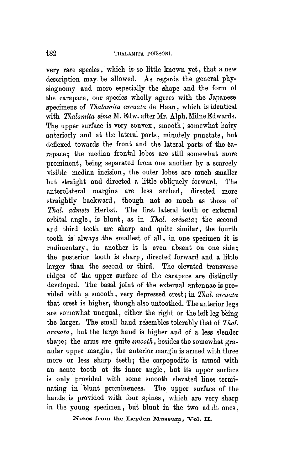very rare species, which is so little known yet, that <sup>a</sup> new description may be allowed. As regards the general physiognomy and more especially the shape and the form of the carapace, our species wholly agrees with the Japanese specimens of Thalamita arcuata de Haan, which is identical with *Thalamita sima* M. Edw. after Mr. Alph. Milne Edwards. The upper surface is very convex, smooth, somewhat hairy anteriorly and at the lateral parts, minutely punctate, but deflexed towards the front and the lateral parts of the carapace; the median frontal lobes are still somewhat more prominent, being separated from one another by <sup>a</sup> scarcely visible median incision, the outer lobes are much smaller but straight and directed <sup>a</sup> little obliquely forward. The anterolateral margins are less arched, directed more straightly backward, though not so much as those of Thal. admete Herbst. The first lateral tooth or external orbital angle, is blunt, as in Thal. arcuata; the second and third teeth are sharp and quite similar, the fourth tooth is always the smallest of all, in one specimen it is rudimentary, in another it is even absent on one side; the posterior tooth is sharp, directed forward and a little larger than the second or third. The elevated transverse ridges of the upper surface of the carapace are distinctly developed. The basal joint of the external antennae is provided with <sup>a</sup> smooth, very depressed crest; in Thal. arcuata that crest is higher, though also untoothed. The anterior legs are somewhat unequal, either the right or the left leg being the larger. The small hand resembles tolerably that of Thal. arcuata, but the large hand is higher and of <sup>a</sup> less slender shape; the arms are quite  $smooth$ , besides the somewhat granular upper margin, the anterior margin is armed with three more or less sharp teeth; the carpopodite is armed with an acute tooth at its inner angle, but its upper surface is only provided with some smooth elevated lines terminating in blunt prominences. The upper surface of the hands is provided with four spines, which are very sharp in the young specimen, but blunt in the two adult ones,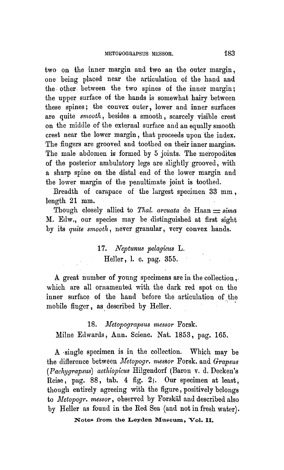two on the inner margin and two an the outer margin, one heing placed near the articulation of the hand and the other, between the two spines of the inner margin; the upper surface of the hands is somewhat hairy between these spines; the convex outer, lower and inner surfaces are quite *smooth*, besides a smooth, scarcely visible crest on the middle of the external surface and an equally smooth crest near the lower margin, that proceeds upon the index. The fingers are grooved and toothed on their inner margins. The male abdomen is formed by 5 joints. The meropodites of the posterior ambulatory legs are slightly grooved, with <sup>a</sup> sharp spine on the distal end of the lower margin and the lower margin of the penultimate joint is toothed.

Breadth of carapace of the largest specimen 33 mm , length 21 mm.

Though closely allied to *Thal. arcuata* de Haan  $\equiv$  sima M. Edw., our species may be distinguished at first sight by its quite smooth, never granular, very convex hands.

> 17. Neptunus pelagicus L. Heller, 1. c. pag. 355.

A great number of young specimens are in the collection, which are all ornamented with the dark red spot on the inner surface of the hand before the articulation of the mobile finger, as described by Heller.

18. Metopograpsus messor Forsk. Milne Edwards, Ann. Scienc. Nat. 1853, pag. 165.

A single specimen is in the collection. Which may be the difference between Metopogr. messor Porsk. and Grapsus ( Pachygrapsus) aethiopicus Hilgendorf (Baron v. d. Decken's Reise, pag. 88, tab. 4 fig. 2). Our specimen at least, though entirely agreeing with the figure, positively belongs to *Metopogr. messor*, observed by Forskäl and described also by Heller as found in the Red Sea (and not in fresh water).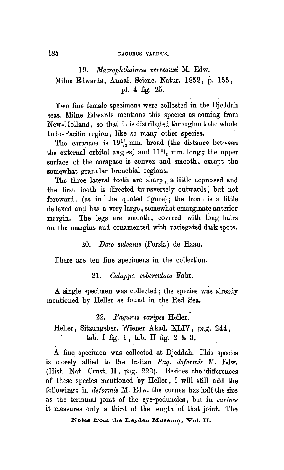#### 184 **PAGURUS VARIPES.**

19. Macrophthalmus verreauxi M. Edw. Milue Edwards, Annal. Scienc. Natur. 1852, p. 155, pi. 4 fig. 25.

Two fine female specimens were collected in the Djeddah seas. Milne Edwards mentions this species as coming from New-Holland, so that it is distributed throughout the whole Indo-Pacific region, like so many other species.

The carapace is  $19^{1}/_{2}$  mm. broad (the distance between The carapace is  $19^{1}/_{2}$  mm. broad (the distance between<br>the external orbital angles) and  $11^{1}/_{2}$  mm. long; the upper surface of the carapace is convex and smooth, except the somewhat granular branchial regions.

The three lateral teeth are sharp,. a little depressed and the first tooth is directed transversely outwards, but not foreward, (as in the quoted figure); the front is a little deflexed and has <sup>a</sup> very large, somewhat emarginate anterior margin. The legs are smooth, covered with long hairs on the margins and ornamented with variegated dark spots.

#### 20. Doto sulcatus (Forsk.) de Haan.

There are ten fine specimens in the collection.

21. Calappa tuberculata Fabr.

A single specimen was collected; the species was already mentioned by Heller as found in the Red Sea.

22. Pagurus varipes Heller.

Heller, Sitzungsber. Wiener Akad. XLIV, pag. 244, tab. I fig. 1, tab. IT fig. <sup>2</sup> & 3.

A fine specimen was collected at Djeddah. This species is closely allied to the Indian Pag. deformis M. Edw. (Hist. Nat. Crust. II, pag. 222). Besides the differences of these species mentioned by Heller, I will still add the following: in *deformis*  $M$ . Edw. the cornea has half the size as the terminal joint of the eye-peduncles, but in varipes it measures only <sup>a</sup> third of the length of that joint. The